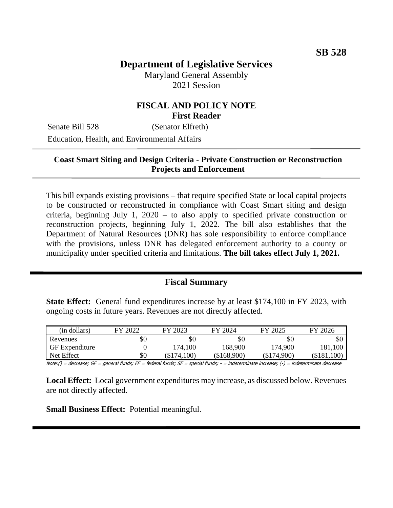# **Department of Legislative Services**

Maryland General Assembly 2021 Session

## **FISCAL AND POLICY NOTE First Reader**

Senate Bill 528 (Senator Elfreth) Education, Health, and Environmental Affairs

### **Coast Smart Siting and Design Criteria - Private Construction or Reconstruction Projects and Enforcement**

This bill expands existing provisions – that require specified State or local capital projects to be constructed or reconstructed in compliance with Coast Smart siting and design criteria, beginning July 1, 2020 – to also apply to specified private construction or reconstruction projects, beginning July 1, 2022. The bill also establishes that the Department of Natural Resources (DNR) has sole responsibility to enforce compliance with the provisions, unless DNR has delegated enforcement authority to a county or municipality under specified criteria and limitations. **The bill takes effect July 1, 2021.**

#### **Fiscal Summary**

**State Effect:** General fund expenditures increase by at least \$174,100 in FY 2023, with ongoing costs in future years. Revenues are not directly affected.

| (in dollars)          | FY 2022 | FY 2023       | FY 2024     | FY 2025     | FY 2026     |
|-----------------------|---------|---------------|-------------|-------------|-------------|
| Revenues              | \$0     | \$0           | \$0         | \$0         | \$0         |
| <b>GF</b> Expenditure |         | 174,100       | 168,900     | 174,900     | 181,100     |
| Net Effect            | \$0     | $(\$174,100)$ | (\$168,900) | (\$174,900) | (\$181,100) |

Note:() = decrease; GF = general funds; FF = federal funds; SF = special funds; - = indeterminate increase; (-) = indeterminate decrease

**Local Effect:** Local government expenditures may increase, as discussed below. Revenues are not directly affected.

**Small Business Effect:** Potential meaningful.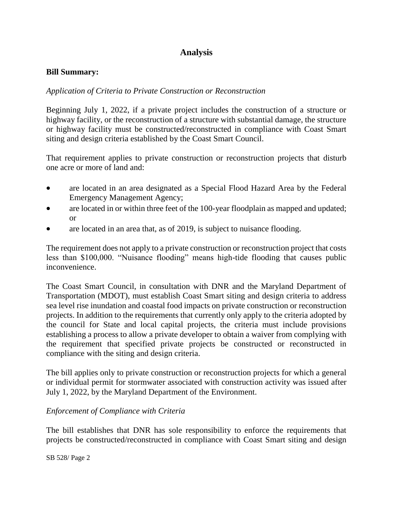# **Analysis**

#### **Bill Summary:**

## *Application of Criteria to Private Construction or Reconstruction*

Beginning July 1, 2022, if a private project includes the construction of a structure or highway facility, or the reconstruction of a structure with substantial damage, the structure or highway facility must be constructed/reconstructed in compliance with Coast Smart siting and design criteria established by the Coast Smart Council.

That requirement applies to private construction or reconstruction projects that disturb one acre or more of land and:

- are located in an area designated as a Special Flood Hazard Area by the Federal Emergency Management Agency;
- are located in or within three feet of the 100-year floodplain as mapped and updated; or
- are located in an area that, as of 2019, is subject to nuisance flooding.

The requirement does not apply to a private construction or reconstruction project that costs less than \$100,000. "Nuisance flooding" means high-tide flooding that causes public inconvenience.

The Coast Smart Council, in consultation with DNR and the Maryland Department of Transportation (MDOT), must establish Coast Smart siting and design criteria to address sea level rise inundation and coastal food impacts on private construction or reconstruction projects. In addition to the requirements that currently only apply to the criteria adopted by the council for State and local capital projects, the criteria must include provisions establishing a process to allow a private developer to obtain a waiver from complying with the requirement that specified private projects be constructed or reconstructed in compliance with the siting and design criteria.

The bill applies only to private construction or reconstruction projects for which a general or individual permit for stormwater associated with construction activity was issued after July 1, 2022, by the Maryland Department of the Environment.

### *Enforcement of Compliance with Criteria*

The bill establishes that DNR has sole responsibility to enforce the requirements that projects be constructed/reconstructed in compliance with Coast Smart siting and design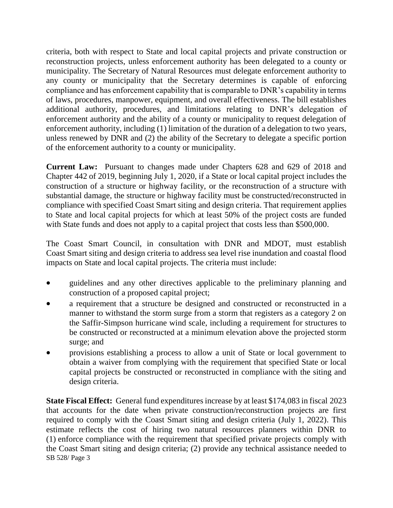criteria, both with respect to State and local capital projects and private construction or reconstruction projects, unless enforcement authority has been delegated to a county or municipality. The Secretary of Natural Resources must delegate enforcement authority to any county or municipality that the Secretary determines is capable of enforcing compliance and has enforcement capability that is comparable to DNR's capability in terms of laws, procedures, manpower, equipment, and overall effectiveness. The bill establishes additional authority, procedures, and limitations relating to DNR's delegation of enforcement authority and the ability of a county or municipality to request delegation of enforcement authority, including (1) limitation of the duration of a delegation to two years, unless renewed by DNR and (2) the ability of the Secretary to delegate a specific portion of the enforcement authority to a county or municipality.

**Current Law:** Pursuant to changes made under Chapters 628 and 629 of 2018 and Chapter 442 of 2019, beginning July 1, 2020, if a State or local capital project includes the construction of a structure or highway facility, or the reconstruction of a structure with substantial damage, the structure or highway facility must be constructed/reconstructed in compliance with specified Coast Smart siting and design criteria. That requirement applies to State and local capital projects for which at least 50% of the project costs are funded with State funds and does not apply to a capital project that costs less than \$500,000.

The Coast Smart Council, in consultation with DNR and MDOT, must establish Coast Smart siting and design criteria to address sea level rise inundation and coastal flood impacts on State and local capital projects. The criteria must include:

- guidelines and any other directives applicable to the preliminary planning and construction of a proposed capital project;
- a requirement that a structure be designed and constructed or reconstructed in a manner to withstand the storm surge from a storm that registers as a category 2 on the Saffir-Simpson hurricane wind scale, including a requirement for structures to be constructed or reconstructed at a minimum elevation above the projected storm surge; and
- provisions establishing a process to allow a unit of State or local government to obtain a waiver from complying with the requirement that specified State or local capital projects be constructed or reconstructed in compliance with the siting and design criteria.

SB 528/ Page 3 **State Fiscal Effect:** General fund expenditures increase by at least \$174,083 in fiscal 2023 that accounts for the date when private construction/reconstruction projects are first required to comply with the Coast Smart siting and design criteria (July 1, 2022). This estimate reflects the cost of hiring two natural resources planners within DNR to (1) enforce compliance with the requirement that specified private projects comply with the Coast Smart siting and design criteria; (2) provide any technical assistance needed to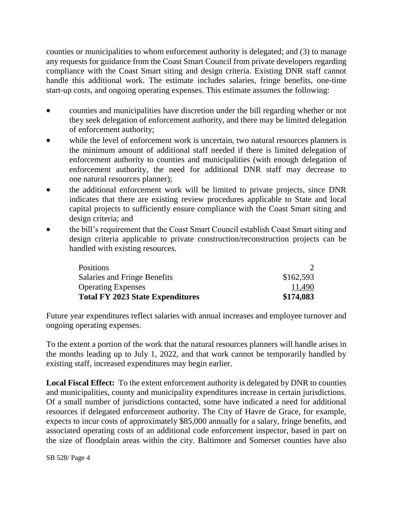counties or municipalities to whom enforcement authority is delegated; and (3) to manage any requests for guidance from the Coast Smart Council from private developers regarding compliance with the Coast Smart siting and design criteria. Existing DNR staff cannot handle this additional work. The estimate includes salaries, fringe benefits, one-time start-up costs, and ongoing operating expenses. This estimate assumes the following:

- counties and municipalities have discretion under the bill regarding whether or not they seek delegation of enforcement authority, and there may be limited delegation of enforcement authority;
- while the level of enforcement work is uncertain, two natural resources planners is the minimum amount of additional staff needed if there is limited delegation of enforcement authority to counties and municipalities (with enough delegation of enforcement authority, the need for additional DNR staff may decrease to one natural resources planner);
- the additional enforcement work will be limited to private projects, since DNR indicates that there are existing review procedures applicable to State and local capital projects to sufficiently ensure compliance with the Coast Smart siting and design criteria; and
- the bill's requirement that the Coast Smart Council establish Coast Smart siting and design criteria applicable to private construction/reconstruction projects can be handled with existing resources.

| Positions                               |           |
|-----------------------------------------|-----------|
| Salaries and Fringe Benefits            | \$162,593 |
| <b>Operating Expenses</b>               | 11,490    |
| <b>Total FY 2023 State Expenditures</b> | \$174,083 |

Future year expenditures reflect salaries with annual increases and employee turnover and ongoing operating expenses.

To the extent a portion of the work that the natural resources planners will handle arises in the months leading up to July 1, 2022, and that work cannot be temporarily handled by existing staff, increased expenditures may begin earlier.

**Local Fiscal Effect:** To the extent enforcement authority is delegated by DNR to counties and municipalities, county and municipality expenditures increase in certain jurisdictions. Of a small number of jurisdictions contacted, some have indicated a need for additional resources if delegated enforcement authority. The City of Havre de Grace, for example, expects to incur costs of approximately \$85,000 annually for a salary, fringe benefits, and associated operating costs of an additional code enforcement inspector, based in part on the size of floodplain areas within the city. Baltimore and Somerset counties have also